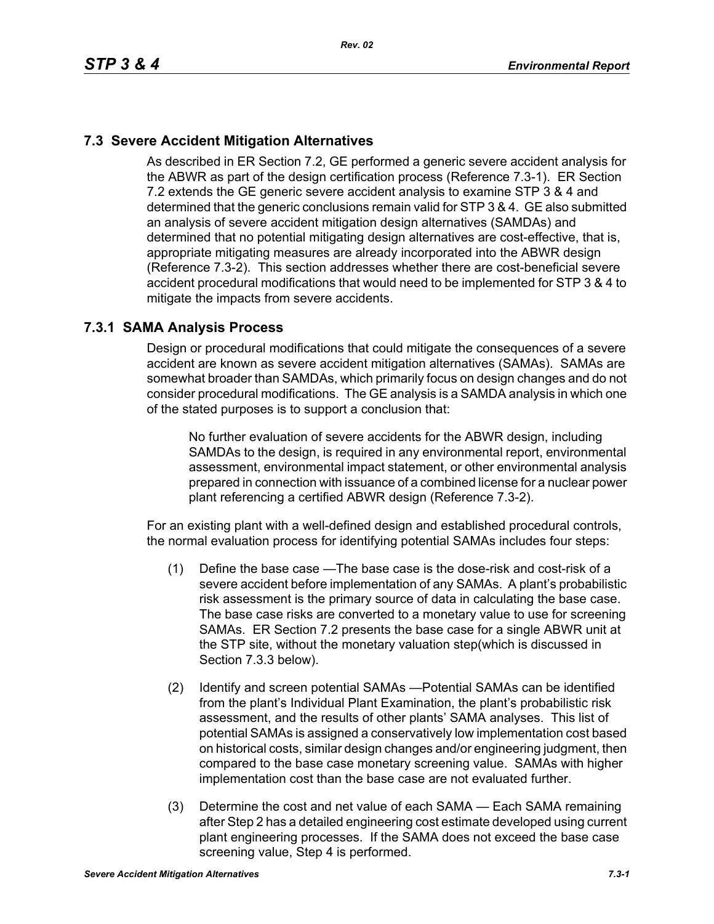# **7.3 Severe Accident Mitigation Alternatives**

As described in ER Section 7.2, GE performed a generic severe accident analysis for the ABWR as part of the design certification process (Reference 7.3-1). ER Section 7.2 extends the GE generic severe accident analysis to examine STP 3 & 4 and determined that the generic conclusions remain valid for STP 3 & 4. GE also submitted an analysis of severe accident mitigation design alternatives (SAMDAs) and determined that no potential mitigating design alternatives are cost-effective, that is, appropriate mitigating measures are already incorporated into the ABWR design (Reference 7.3-2). This section addresses whether there are cost-beneficial severe accident procedural modifications that would need to be implemented for STP 3 & 4 to mitigate the impacts from severe accidents.

#### **7.3.1 SAMA Analysis Process**

Design or procedural modifications that could mitigate the consequences of a severe accident are known as severe accident mitigation alternatives (SAMAs). SAMAs are somewhat broader than SAMDAs, which primarily focus on design changes and do not consider procedural modifications. The GE analysis is a SAMDA analysis in which one of the stated purposes is to support a conclusion that:

No further evaluation of severe accidents for the ABWR design, including SAMDAs to the design, is required in any environmental report, environmental assessment, environmental impact statement, or other environmental analysis prepared in connection with issuance of a combined license for a nuclear power plant referencing a certified ABWR design (Reference 7.3-2).

For an existing plant with a well-defined design and established procedural controls, the normal evaluation process for identifying potential SAMAs includes four steps:

- (1) Define the base case —The base case is the dose-risk and cost-risk of a severe accident before implementation of any SAMAs. A plant's probabilistic risk assessment is the primary source of data in calculating the base case. The base case risks are converted to a monetary value to use for screening SAMAs. ER Section 7.2 presents the base case for a single ABWR unit at the STP site, without the monetary valuation step(which is discussed in Section 7.3.3 below).
- (2) Identify and screen potential SAMAs —Potential SAMAs can be identified from the plant's Individual Plant Examination, the plant's probabilistic risk assessment, and the results of other plants' SAMA analyses. This list of potential SAMAs is assigned a conservatively low implementation cost based on historical costs, similar design changes and/or engineering judgment, then compared to the base case monetary screening value. SAMAs with higher implementation cost than the base case are not evaluated further.
- (3) Determine the cost and net value of each SAMA Each SAMA remaining after Step 2 has a detailed engineering cost estimate developed using current plant engineering processes. If the SAMA does not exceed the base case screening value, Step 4 is performed.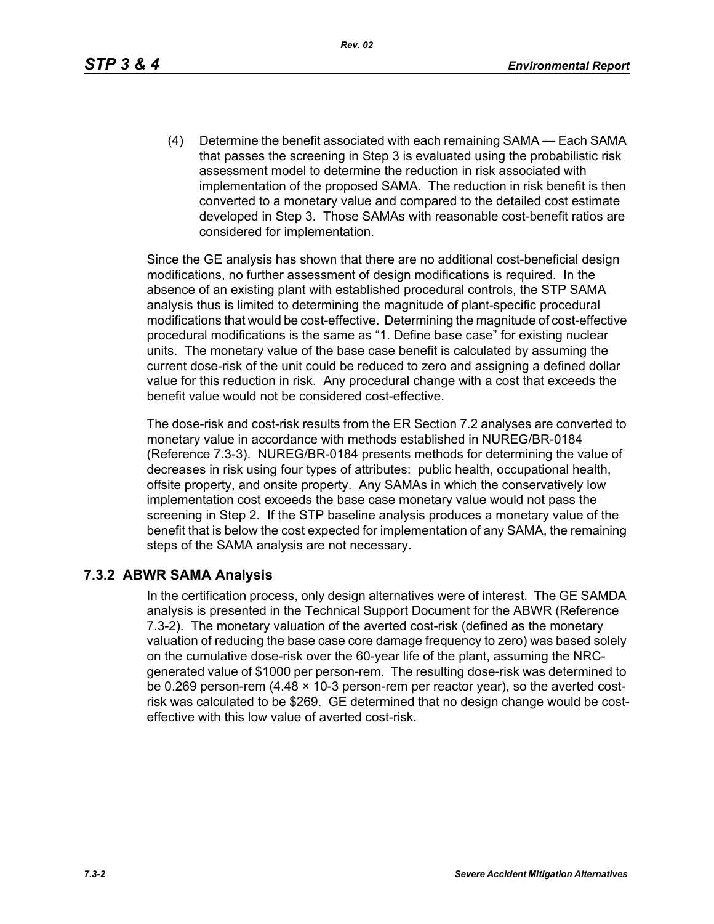*Rev. 02*

(4) Determine the benefit associated with each remaining SAMA — Each SAMA that passes the screening in Step 3 is evaluated using the probabilistic risk assessment model to determine the reduction in risk associated with implementation of the proposed SAMA. The reduction in risk benefit is then converted to a monetary value and compared to the detailed cost estimate developed in Step 3. Those SAMAs with reasonable cost-benefit ratios are considered for implementation.

Since the GE analysis has shown that there are no additional cost-beneficial design modifications, no further assessment of design modifications is required. In the absence of an existing plant with established procedural controls, the STP SAMA analysis thus is limited to determining the magnitude of plant-specific procedural modifications that would be cost-effective. Determining the magnitude of cost-effective procedural modifications is the same as "1. Define base case" for existing nuclear units. The monetary value of the base case benefit is calculated by assuming the current dose-risk of the unit could be reduced to zero and assigning a defined dollar value for this reduction in risk. Any procedural change with a cost that exceeds the benefit value would not be considered cost-effective.

The dose-risk and cost-risk results from the ER Section 7.2 analyses are converted to monetary value in accordance with methods established in NUREG/BR-0184 (Reference 7.3-3). NUREG/BR-0184 presents methods for determining the value of decreases in risk using four types of attributes: public health, occupational health, offsite property, and onsite property. Any SAMAs in which the conservatively low implementation cost exceeds the base case monetary value would not pass the screening in Step 2. If the STP baseline analysis produces a monetary value of the benefit that is below the cost expected for implementation of any SAMA, the remaining steps of the SAMA analysis are not necessary.

#### **7.3.2 ABWR SAMA Analysis**

In the certification process, only design alternatives were of interest. The GE SAMDA analysis is presented in the Technical Support Document for the ABWR (Reference 7.3-2). The monetary valuation of the averted cost-risk (defined as the monetary valuation of reducing the base case core damage frequency to zero) was based solely on the cumulative dose-risk over the 60-year life of the plant, assuming the NRCgenerated value of \$1000 per person-rem. The resulting dose-risk was determined to be 0.269 person-rem (4.48 × 10-3 person-rem per reactor year), so the averted costrisk was calculated to be \$269. GE determined that no design change would be costeffective with this low value of averted cost-risk.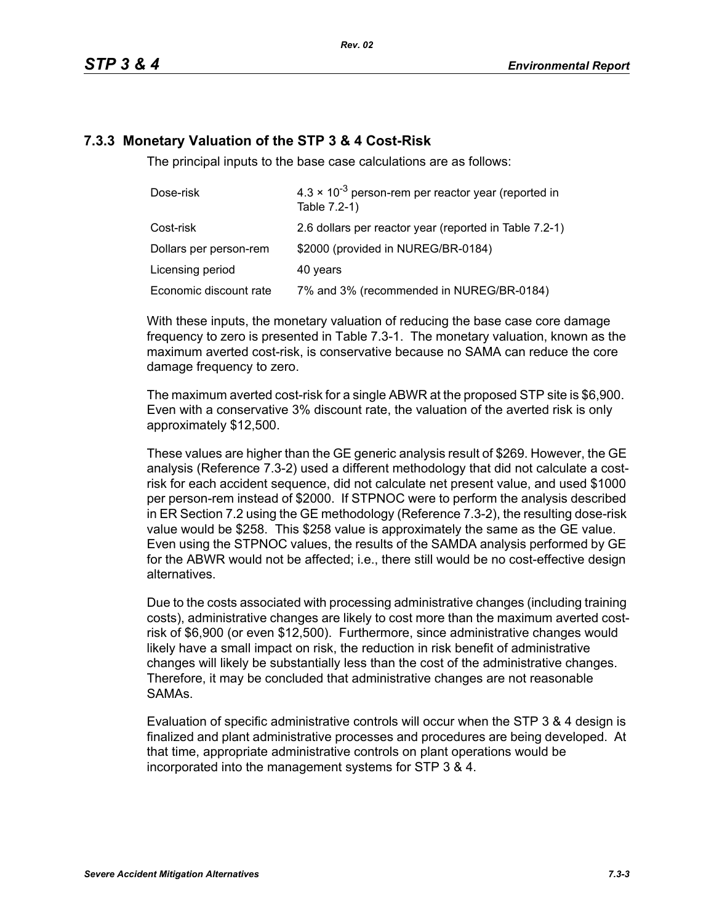# **7.3.3 Monetary Valuation of the STP 3 & 4 Cost-Risk**

The principal inputs to the base case calculations are as follows:

| Dose-risk              | $4.3 \times 10^{-3}$ person-rem per reactor year (reported in<br>Table 7.2-1) |  |
|------------------------|-------------------------------------------------------------------------------|--|
| Cost-risk              | 2.6 dollars per reactor year (reported in Table 7.2-1)                        |  |
| Dollars per person-rem | \$2000 (provided in NUREG/BR-0184)                                            |  |
| Licensing period       | 40 years                                                                      |  |
| Economic discount rate | 7% and 3% (recommended in NUREG/BR-0184)                                      |  |

With these inputs, the monetary valuation of reducing the base case core damage frequency to zero is presented in Table 7.3-1. The monetary valuation, known as the maximum averted cost-risk, is conservative because no SAMA can reduce the core damage frequency to zero.

The maximum averted cost-risk for a single ABWR at the proposed STP site is \$6,900. Even with a conservative 3% discount rate, the valuation of the averted risk is only approximately \$12,500.

These values are higher than the GE generic analysis result of \$269. However, the GE analysis (Reference 7.3-2) used a different methodology that did not calculate a costrisk for each accident sequence, did not calculate net present value, and used \$1000 per person-rem instead of \$2000. If STPNOC were to perform the analysis described in ER Section 7.2 using the GE methodology (Reference 7.3-2), the resulting dose-risk value would be \$258. This \$258 value is approximately the same as the GE value. Even using the STPNOC values, the results of the SAMDA analysis performed by GE for the ABWR would not be affected; i.e., there still would be no cost-effective design alternatives.

Due to the costs associated with processing administrative changes (including training costs), administrative changes are likely to cost more than the maximum averted costrisk of \$6,900 (or even \$12,500). Furthermore, since administrative changes would likely have a small impact on risk, the reduction in risk benefit of administrative changes will likely be substantially less than the cost of the administrative changes. Therefore, it may be concluded that administrative changes are not reasonable SAMAs.

Evaluation of specific administrative controls will occur when the STP 3 & 4 design is finalized and plant administrative processes and procedures are being developed. At that time, appropriate administrative controls on plant operations would be incorporated into the management systems for STP 3 & 4.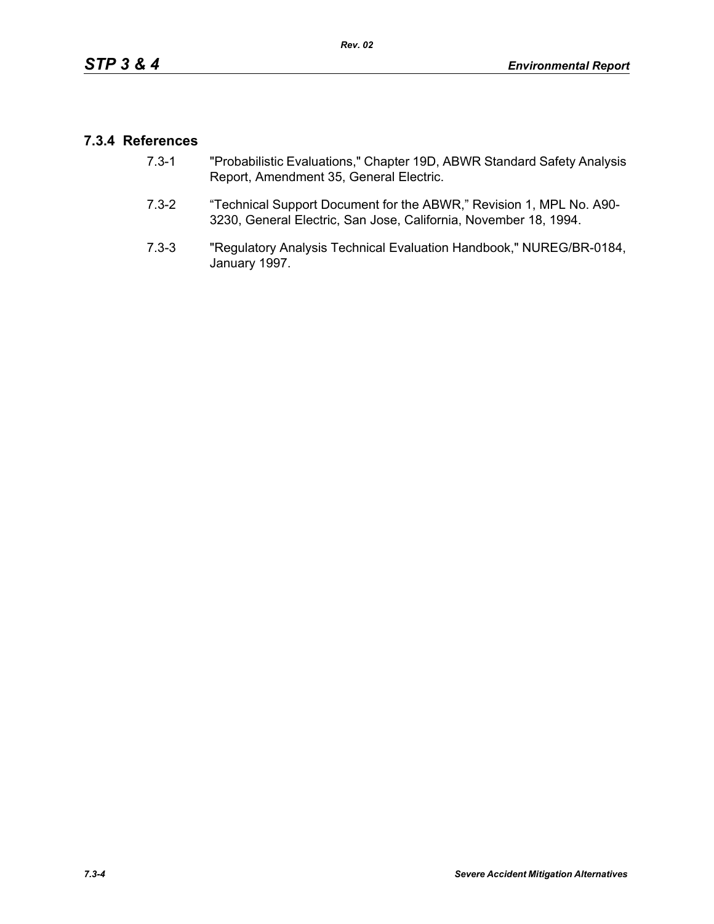# **7.3.4 References**

- 7.3-1 "Probabilistic Evaluations," Chapter 19D, ABWR Standard Safety Analysis Report, Amendment 35, General Electric.
- 7.3-2 "Technical Support Document for the ABWR," Revision 1, MPL No. A90- 3230, General Electric, San Jose, California, November 18, 1994.
- 7.3-3 "Regulatory Analysis Technical Evaluation Handbook," NUREG/BR-0184, January 1997.